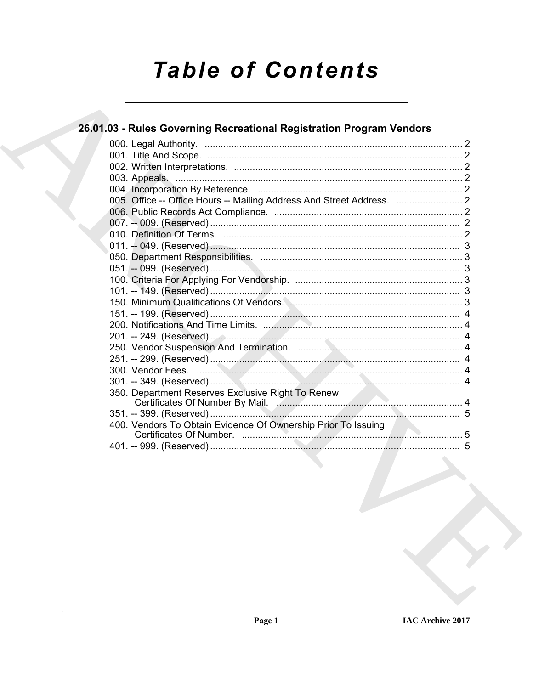# **Table of Contents**

### 26.01.03 - Rules Governing Recreational Registration Program Vendors

| 005. Office -- Office Hours -- Mailing Address And Street Address.  2 |  |
|-----------------------------------------------------------------------|--|
|                                                                       |  |
|                                                                       |  |
|                                                                       |  |
|                                                                       |  |
|                                                                       |  |
|                                                                       |  |
|                                                                       |  |
|                                                                       |  |
|                                                                       |  |
|                                                                       |  |
|                                                                       |  |
|                                                                       |  |
|                                                                       |  |
|                                                                       |  |
|                                                                       |  |
|                                                                       |  |
| 350. Department Reserves Exclusive Right To Renew                     |  |
| Certificates Of Number By Mail.                                       |  |
|                                                                       |  |
| 400. Vendors To Obtain Evidence Of Ownership Prior To Issuing         |  |
|                                                                       |  |
|                                                                       |  |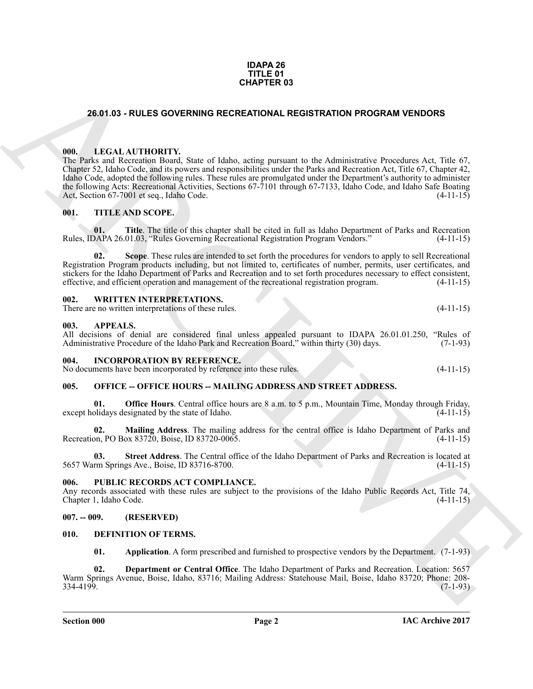#### **IDAPA 26 TITLE 01 CHAPTER 03**

#### <span id="page-1-13"></span><span id="page-1-0"></span>**26.01.03 - RULES GOVERNING RECREATIONAL REGISTRATION PROGRAM VENDORS**

#### <span id="page-1-1"></span>**000. LEGAL AUTHORITY.**

**CHAPTER 63**<br> **CHAPTER 63**<br> **CHAPTER 64**<br> **CHAPTER 64**<br> **CHAPTER 64**<br> **CHAPTER 64**<br> **CHAPTER 64**<br> **CHAPTER 64**<br> **CHAPTER 64**<br> **CHAPTER 64**<br> **CHAPTER 64**<br> **CHAPTER 64**<br> **CHAPTER 64**<br> **CHAPTER 64**<br> **CHAPTER 64**<br> **CHAPTER 64** The Parks and Recreation Board, State of Idaho, acting pursuant to the Administrative Procedures Act, Title 67, Chapter 52, Idaho Code, and its powers and responsibilities under the Parks and Recreation Act, Title 67, Chapter 42, Idaho Code, adopted the following rules. These rules are promulgated under the Department's authority to administer the following Acts: Recreational Activities, Sections 67-7101 through 67-7133, Idaho Code, and Idaho Safe Boating Act, Section 67-7001 et seq., Idaho Code. Act, Section 67-7001 et seq., Idaho Code.

#### <span id="page-1-14"></span><span id="page-1-2"></span>**001. TITLE AND SCOPE.**

**01. Title**. The title of this chapter shall be cited in full as Idaho Department of Parks and Recreation Rules, IDAPA 26.01.03, "Rules Governing Recreational Registration Program Vendors." (4-11-15)

**Scope**. These rules are intended to set forth the procedures for vendors to apply to sell Recreational Registration Program products including, but not limited to, certificates of number, permits, user certificates, and stickers for the Idaho Department of Parks and Recreation and to set forth procedures necessary to effect consistent, effective, and efficient operation and management of the recreational registration program. (4-11-15)

#### <span id="page-1-15"></span><span id="page-1-3"></span>**002. WRITTEN INTERPRETATIONS.**

There are no written interpretations of these rules. (4-11-15)

#### <span id="page-1-4"></span>**003. APPEALS.**

All decisions of denial are considered final unless appealed pursuant to IDAPA 26.01.01.250, "Rules of Administrative Procedure of the Idaho Park and Recreation Board," within thirty (30) days. (7-1-93)

#### <span id="page-1-5"></span>**004. INCORPORATION BY REFERENCE.**

No documents have been incorporated by reference into these rules. (4-11-15)

#### <span id="page-1-6"></span>005. OFFICE -- OFFICE HOURS -- MAILING ADDRESS AND STREET ADDRESS.

**Office Hours**. Central office hours are 8 a.m. to 5 p.m., Mountain Time, Monday through Friday, except holidays designated by the state of Idaho. (4-11-15)

**02. Mailing Address**. The mailing address for the central office is Idaho Department of Parks and Recreation, PO Box 83720, Boise, ID 83720-0065.

**03. Street Address**. The Central office of the Idaho Department of Parks and Recreation is located at 5657 Warm Springs Ave., Boise, ID 83716-8700. (4-11-15)

#### <span id="page-1-7"></span>**006. PUBLIC RECORDS ACT COMPLIANCE.**

Any records associated with these rules are subject to the provisions of the Idaho Public Records Act, Title 74, Chapter 1, Idaho Code. (4-11-15) Chapter 1, Idaho Code.

#### <span id="page-1-8"></span>**007. -- 009. (RESERVED)**

#### <span id="page-1-9"></span>**010. DEFINITION OF TERMS.**

<span id="page-1-12"></span><span id="page-1-11"></span><span id="page-1-10"></span>**01. Application**. A form prescribed and furnished to prospective vendors by the Department. (7-1-93)

**02. Department or Central Office**. The Idaho Department of Parks and Recreation. Location: 5657 Warm Springs Avenue, Boise, Idaho, 83716; Mailing Address: Statehouse Mail, Boise, Idaho 83720; Phone: 208-  $334-4199.$  (7-1-93)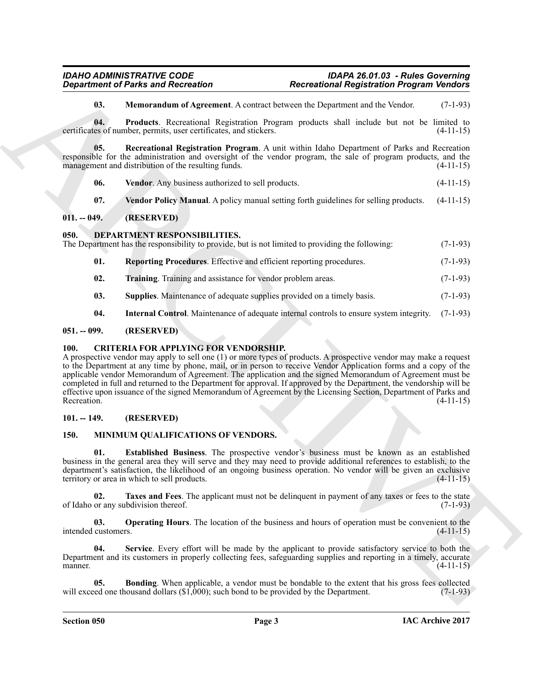#### *IDAHO ADMINISTRATIVE CODE IDAPA 26.01.03 - Rules Governing Department of Parks and Recreation Recreational Registration Program Vendors*

<span id="page-2-9"></span><span id="page-2-8"></span><span id="page-2-7"></span>**03. Memorandum of Agreement**. A contract between the Department and the Vendor. (7-1-93)

**04. Products**. Recreational Registration Program products shall include but not be limited to certificates of number, permits, user certificates, and stickers. (4-11-15)

**05. Recreational Registration Program**. A unit within Idaho Department of Parks and Recreation responsible for the administration and oversight of the vendor program, the sale of program products, and the management and distribution of the resulting funds. (4-11-15)

- <span id="page-2-10"></span>**06. Vendor**. Any business authorized to sell products. (4-11-15)
- <span id="page-2-12"></span><span id="page-2-11"></span>**07. Vendor Policy Manual**. A policy manual setting forth guidelines for selling products. (4-11-15)

#### <span id="page-2-0"></span>**011. -- 049. (RESERVED)**

#### <span id="page-2-1"></span>**050. DEPARTMENT RESPONSIBILITIES.**

The Department has the responsibility to provide, but is not limited to providing the following: (7-1-93)

- <span id="page-2-14"></span>**01. Reporting Procedures**. Effective and efficient reporting procedures. (7-1-93)
- <span id="page-2-16"></span>**02. Training**. Training and assistance for vendor problem areas. (7-1-93)
- <span id="page-2-15"></span><span id="page-2-13"></span>**03. Supplies**. Maintenance of adequate supplies provided on a timely basis. (7-1-93)
- <span id="page-2-6"></span>**04. Internal Control**. Maintenance of adequate internal controls to ensure system integrity. (7-1-93)

#### <span id="page-2-2"></span>**051. -- 099. (RESERVED)**

#### <span id="page-2-3"></span>**100. CRITERIA FOR APPLYING FOR VENDORSHIP.**

*Department of Parks and Recreation*<br> **ARCHIVES CONSULTER ARCHITECTS CONSULTER ARCHITECTS CONSULTER ARCHITECTS**<br> **CONSULTER ARCHITECTS**<br> **CONSULTER ARCHITECTS**<br> **CONSULTER ARCHITECTS**<br> **CONSULTER ARCHITECTS**<br> **CON** A prospective vendor may apply to sell one (1) or more types of products. A prospective vendor may make a request to the Department at any time by phone, mail, or in person to receive Vendor Application forms and a copy of the applicable vendor Memorandum of Agreement. The application and the signed Memorandum of Agreement must be completed in full and returned to the Department for approval. If approved by the Department, the vendorship will be effective upon issuance of the signed Memorandum of Agreement by the Licensing Section, Department of Parks and<br>Recreation. (4-11-15) Recreation.  $(4-11-15)$ 

#### <span id="page-2-4"></span>**101. -- 149. (RESERVED)**

#### <span id="page-2-19"></span><span id="page-2-17"></span><span id="page-2-5"></span>**150. MINIMUM QUALIFICATIONS OF VENDORS.**

**01. Established Business**. The prospective vendor's business must be known as an established business in the general area they will serve and they may need to provide additional references to establish, to the department's satisfaction, the likelihood of an ongoing business operation. No vendor will be given an exclusive territory or area in which to sell products. (4-11-15) territory or area in which to sell products.

<span id="page-2-22"></span>**02. Taxes and Fees**. The applicant must not be delinquent in payment of any taxes or fees to the state or any subdivision thereof. (7-1-93) of Idaho or any subdivision thereof.

<span id="page-2-20"></span>**03. Operating Hours**. The location of the business and hours of operation must be convenient to the customers. (4-11-15) intended customers.

<span id="page-2-21"></span>**04. Service**. Every effort will be made by the applicant to provide satisfactory service to both the Department and its customers in properly collecting fees, safeguarding supplies and reporting in a timely, accurate manner.  $(4-11-15)$ 

<span id="page-2-18"></span>**Bonding**. When applicable, a vendor must be bondable to the extent that his gross fees collected lousand dollars (\$1,000); such bond to be provided by the Department. (7-1-93) will exceed one thousand dollars  $(\$1,000)$ ; such bond to be provided by the Department.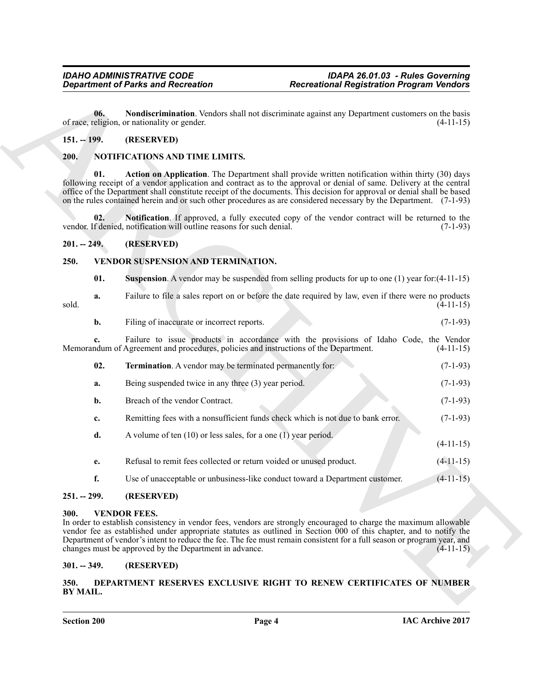#### <span id="page-3-9"></span><span id="page-3-0"></span>**151. -- 199. (RESERVED)**

#### <span id="page-3-11"></span><span id="page-3-10"></span><span id="page-3-1"></span>**200. NOTIFICATIONS AND TIME LIMITS.**

#### <span id="page-3-12"></span><span id="page-3-2"></span>**201. -- 249. (RESERVED)**

#### <span id="page-3-3"></span>**250. VENDOR SUSPENSION AND TERMINATION.**

<span id="page-3-15"></span><span id="page-3-14"></span>

|  | 01. |  |  |  | <b>Suspension</b> . A vendor may be suspended from selling products for up to one $(1)$ year for: $(4-11-15)$ |  |
|--|-----|--|--|--|---------------------------------------------------------------------------------------------------------------|--|
|--|-----|--|--|--|---------------------------------------------------------------------------------------------------------------|--|

- <span id="page-3-16"></span>**a.** Failure to file a sales report on or before the date required by law, even if there were no products (4-11-15) sold. (4-11-15)
	- **b.** Filing of inaccurate or incorrect reports. (7-1-93)

| 06.<br>$151. - 199.$<br>200.<br>01.<br>02.<br>$201. - 249.$<br>250.<br>01.<br>a. | of race, religion, or nationality or gender.<br>(RESERVED)<br>NOTIFICATIONS AND TIME LIMITS.<br>vendor. If denied, notification will outline reasons for such denial.<br>(RESERVED)<br>VENDOR SUSPENSION AND TERMINATION. | Nondiscrimination. Vendors shall not discriminate against any Department customers on the basis<br><b>Action on Application</b> . The Department shall provide written notification within thirty (30) days<br>following receipt of a vendor application and contract as to the approval or denial of same. Delivery at the central<br>office of the Department shall constitute receipt of the documents. This decision for approval or denial shall be based<br>on the rules contained herein and or such other procedures as are considered necessary by the Department. (7-1-93)<br>Notification. If approved, a fully executed copy of the vendor contract will be returned to the | $(4-11-15)$ |
|----------------------------------------------------------------------------------|---------------------------------------------------------------------------------------------------------------------------------------------------------------------------------------------------------------------------|-----------------------------------------------------------------------------------------------------------------------------------------------------------------------------------------------------------------------------------------------------------------------------------------------------------------------------------------------------------------------------------------------------------------------------------------------------------------------------------------------------------------------------------------------------------------------------------------------------------------------------------------------------------------------------------------|-------------|
|                                                                                  |                                                                                                                                                                                                                           |                                                                                                                                                                                                                                                                                                                                                                                                                                                                                                                                                                                                                                                                                         | $(7-1-93)$  |
|                                                                                  |                                                                                                                                                                                                                           |                                                                                                                                                                                                                                                                                                                                                                                                                                                                                                                                                                                                                                                                                         |             |
|                                                                                  |                                                                                                                                                                                                                           |                                                                                                                                                                                                                                                                                                                                                                                                                                                                                                                                                                                                                                                                                         |             |
|                                                                                  |                                                                                                                                                                                                                           |                                                                                                                                                                                                                                                                                                                                                                                                                                                                                                                                                                                                                                                                                         |             |
|                                                                                  |                                                                                                                                                                                                                           |                                                                                                                                                                                                                                                                                                                                                                                                                                                                                                                                                                                                                                                                                         |             |
|                                                                                  |                                                                                                                                                                                                                           |                                                                                                                                                                                                                                                                                                                                                                                                                                                                                                                                                                                                                                                                                         |             |
|                                                                                  |                                                                                                                                                                                                                           |                                                                                                                                                                                                                                                                                                                                                                                                                                                                                                                                                                                                                                                                                         |             |
|                                                                                  |                                                                                                                                                                                                                           | <b>Suspension.</b> A vendor may be suspended from selling products for up to one $(1)$ year for: $(4-11-15)$                                                                                                                                                                                                                                                                                                                                                                                                                                                                                                                                                                            |             |
| sold.                                                                            |                                                                                                                                                                                                                           | Failure to file a sales report on or before the date required by law, even if there were no products                                                                                                                                                                                                                                                                                                                                                                                                                                                                                                                                                                                    | $(4-11-15)$ |
| b.                                                                               | Filing of inaccurate or incorrect reports.                                                                                                                                                                                |                                                                                                                                                                                                                                                                                                                                                                                                                                                                                                                                                                                                                                                                                         | $(7-1-93)$  |
|                                                                                  | Memorandum of Agreement and procedures, policies and instructions of the Department.                                                                                                                                      | Failure to issue products in accordance with the provisions of Idaho Code, the Vendor                                                                                                                                                                                                                                                                                                                                                                                                                                                                                                                                                                                                   | $(4-11-15)$ |
| 02.                                                                              | <b>Termination.</b> A vendor may be terminated permanently for:                                                                                                                                                           |                                                                                                                                                                                                                                                                                                                                                                                                                                                                                                                                                                                                                                                                                         | $(7-1-93)$  |
| a.                                                                               | Being suspended twice in any three (3) year period.                                                                                                                                                                       |                                                                                                                                                                                                                                                                                                                                                                                                                                                                                                                                                                                                                                                                                         | $(7-1-93)$  |
| b.                                                                               | Breach of the vendor Contract.                                                                                                                                                                                            |                                                                                                                                                                                                                                                                                                                                                                                                                                                                                                                                                                                                                                                                                         | $(7-1-93)$  |
| c.                                                                               |                                                                                                                                                                                                                           | Remitting fees with a nonsufficient funds check which is not due to bank error.                                                                                                                                                                                                                                                                                                                                                                                                                                                                                                                                                                                                         | $(7-1-93)$  |
| d.                                                                               | A volume of ten $(10)$ or less sales, for a one $(1)$ year period.                                                                                                                                                        |                                                                                                                                                                                                                                                                                                                                                                                                                                                                                                                                                                                                                                                                                         | $(4-11-15)$ |
| e.                                                                               | Refusal to remit fees collected or return voided or unused product.                                                                                                                                                       |                                                                                                                                                                                                                                                                                                                                                                                                                                                                                                                                                                                                                                                                                         | $(4-11-15)$ |
| f.                                                                               |                                                                                                                                                                                                                           | Use of unacceptable or unbusiness-like conduct toward a Department customer.                                                                                                                                                                                                                                                                                                                                                                                                                                                                                                                                                                                                            | $(4-11-15)$ |
| $251. - 299.$                                                                    | (RESERVED)                                                                                                                                                                                                                |                                                                                                                                                                                                                                                                                                                                                                                                                                                                                                                                                                                                                                                                                         |             |
| 300.                                                                             | <b>VENDOR FEES.</b><br>changes must be approved by the Department in advance.                                                                                                                                             | In order to establish consistency in vendor fees, vendors are strongly encouraged to charge the maximum allowable<br>vendor fee as established under appropriate statutes as outlined in Section 000 of this chapter, and to notify the<br>Department of vendor's intent to reduce the fee. The fee must remain consistent for a full season or program year, and                                                                                                                                                                                                                                                                                                                       | $(4-11-15)$ |
| $301. - 349.$                                                                    | (RESERVED)                                                                                                                                                                                                                |                                                                                                                                                                                                                                                                                                                                                                                                                                                                                                                                                                                                                                                                                         |             |
| 350.<br>BY MAIL.                                                                 |                                                                                                                                                                                                                           | DEPARTMENT RESERVES EXCLUSIVE RIGHT TO RENEW CERTIFICATES OF NUMBER                                                                                                                                                                                                                                                                                                                                                                                                                                                                                                                                                                                                                     |             |

#### <span id="page-3-4"></span>**251. -- 299. (RESERVED)**

#### <span id="page-3-13"></span><span id="page-3-5"></span>**300. VENDOR FEES.**

#### <span id="page-3-6"></span>**301. -- 349. (RESERVED)**

#### <span id="page-3-8"></span><span id="page-3-7"></span>**350. DEPARTMENT RESERVES EXCLUSIVE RIGHT TO RENEW CERTIFICATES OF NUMBER BY MAIL.**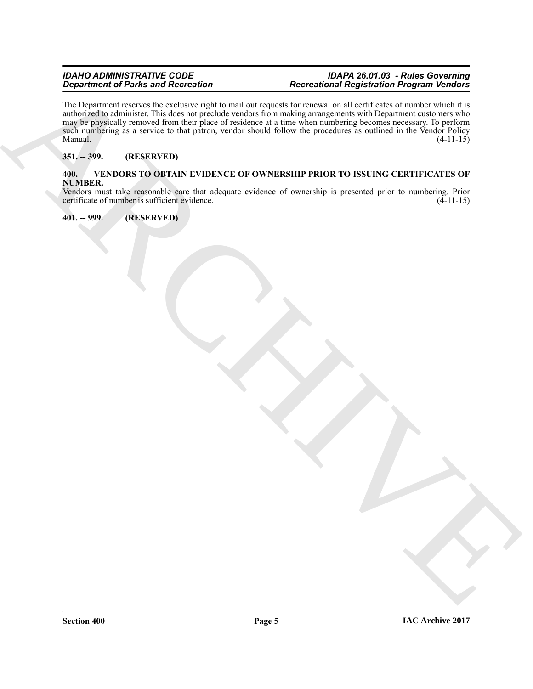#### *IDAHO ADMINISTRATIVE CODE IDAPA 26.01.03 - Rules Governing Department of Parks and Recreation Recreational Registration Program Vendors*

 $B_{\text{max}}$  (a)  $B_{\text{max}}$  (b)  $B_{\text{max}}$  (b)  $B_{\text{max}}$  (b)  $B_{\text{max}}$  (b)  $B_{\text{max}}$  (b)  $B_{\text{max}}$  (b)  $B_{\text{max}}$  (b)  $B_{\text{max}}$  (b)  $B_{\text{max}}$  (b)  $B_{\text{max}}$  (b)  $B_{\text{max}}$  (b)  $B_{\text{max}}$  (b)  $B_{\text{max}}$  (b)  $B_{\text{max}}$  (b)  $B_{\text{max}}$  ( The Department reserves the exclusive right to mail out requests for renewal on all certificates of number which it is authorized to administer. This does not preclude vendors from making arrangements with Department customers who may be physically removed from their place of residence at a time when numbering becomes necessary. To perform such numbering as a service to that patron, vendor should follow the procedures as outlined in the Vendor Policy Manual.  $(4-11-15)$ 

#### <span id="page-4-0"></span>**351. -- 399. (RESERVED)**

#### <span id="page-4-3"></span><span id="page-4-1"></span>**400. VENDORS TO OBTAIN EVIDENCE OF OWNERSHIP PRIOR TO ISSUING CERTIFICATES OF NUMBER.**

Vendors must take reasonable care that adequate evidence of ownership is presented prior to numbering. Prior certificate of number is sufficient evidence.

<span id="page-4-2"></span>**401. -- 999. (RESERVED)**